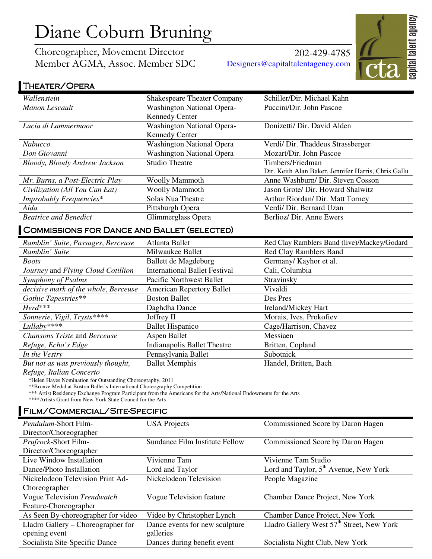# Diane Coburn Bruning

Choreographer, Movement Director Member AGMA, Assoc. Member SDC

202-429-4785 Designers@capitaltalentagency.com



## THEATER/OPERA

| Wallenstein                                        | <b>Shakespeare Theater Company</b>   | Schiller/Dir. Michael Kahn                          |
|----------------------------------------------------|--------------------------------------|-----------------------------------------------------|
| <b>Manon Lescault</b>                              | <b>Washington National Opera-</b>    | Puccini/Dir. John Pascoe                            |
|                                                    | <b>Kennedy Center</b>                |                                                     |
| Lucia di Lammermoor                                | <b>Washington National Opera-</b>    | Donizetti/ Dir. David Alden                         |
|                                                    | <b>Kennedy Center</b>                |                                                     |
| Nabucco                                            | <b>Washington National Opera</b>     | Verdi/ Dir. Thaddeus Strassberger                   |
| Don Giovanni                                       | <b>Washington National Opera</b>     | Mozart/Dir. John Pascoe                             |
| Bloody, Bloody Andrew Jackson                      | <b>Studio Theatre</b>                | Timbers/Friedman                                    |
|                                                    |                                      | Dir. Keith Alan Baker, Jennifer Harris, Chris Gallu |
| Mr. Burns, a Post-Electric Play                    | <b>Woolly Mammoth</b>                | Anne Washburn/ Dir. Steven Cosson                   |
| Civilization (All You Can Eat)                     | <b>Woolly Mammoth</b>                | Jason Grote/ Dir. Howard Shalwitz                   |
| Improbably Frequencies*                            | <b>Solas Nua Theatre</b>             | Arthur Riordan/ Dir. Matt Torney                    |
| Aida                                               | Pittsburgh Opera                     | Verdi/ Dir. Bernard Uzan                            |
| <b>Beatrice and Benedict</b>                       | Glimmerglass Opera                   | Berlioz/ Dir. Anne Ewers                            |
| <b>COMMISSIONS FOR DANCE AND BALLET (SELECTED)</b> |                                      |                                                     |
| Ramblin' Suite, Passages, Berceuse                 | Atlanta Ballet                       | Red Clay Ramblers Band (live)/Mackey/Godard         |
| Ramblin' Suite                                     | Milwaukee Ballet                     | <b>Red Clay Ramblers Band</b>                       |
| <b>Boots</b>                                       | Ballett de Magdeburg                 | Germany/ Kayhor et al.                              |
| Journey and Flying Cloud Cotillion                 | <b>International Ballet Festival</b> | Cali, Columbia                                      |
| Symphony of Psalms                                 | <b>Pacific Northwest Ballet</b>      | Stravinsky                                          |
| decisive mark of the whole, Berceuse               | <b>American Repertory Ballet</b>     | Vivaldi                                             |
| Gothic Tapestries**                                | <b>Boston Ballet</b>                 | Des Pres                                            |
| $Herd***$                                          | Daghdha Dance                        | Ireland/Mickey Hart                                 |
| Sonnerie, Vigil, Trysts****                        | Joffrey II                           | Morais, Ives, Prokofiev                             |
| Lullaby****                                        | <b>Ballet Hispanico</b>              | Cage/Harrison, Chavez                               |
| Chansons Triste and Berceuse                       | Aspen Ballet                         | Messiaen                                            |

*But not as was previously thought,*  Ballet Memphis Handel, Britten, Bach

*Refuge, Italian Concerto* 

\*Helen Hayes Nomination for Outstanding Choreography, 2011

\*\*Bronze Medal at Boston Ballet's International Choreography Competition

\*\*\* Artist Residency Exchange Program Participant from the Americans for the Arts/National Endowments for the Arts

*Refuge, Echo's Edge* **Indianapolis Ballet Theatre** Britten, Copland *In the Vestry* **Pennsylvania Ballet** Subotnick

\*\*\*\*Artists Grant from New York State Council for the Arts

#### FILM/COMMERCIAL/SITE-SPECIFIC

| <i>Pendulum-Short Film-</i>        | <b>USA</b> Projects            | Commissioned Score by Daron Hagen                     |
|------------------------------------|--------------------------------|-------------------------------------------------------|
| Director/Choreographer             |                                |                                                       |
| Prufrock-Short Film-               | Sundance Film Institute Fellow | Commissioned Score by Daron Hagen                     |
| Director/Choreographer             |                                |                                                       |
| Live Window Installation           | Vivienne Tam                   | Vivienne Tam Studio                                   |
| Dance/Photo Installation           | Lord and Taylor                | Lord and Taylor, 5 <sup>th</sup> Avenue, New York     |
| Nickelodeon Television Print Ad-   | Nickelodeon Television         | People Magazine                                       |
| Choreographer                      |                                |                                                       |
| Vogue Television Trendwatch        | Vogue Television feature       | Chamber Dance Project, New York                       |
| Feature-Choreographer              |                                |                                                       |
| As Seen By-choreographer for video | Video by Christopher Lynch     | Chamber Dance Project, New York                       |
| Lladro Gallery – Choreographer for | Dance events for new sculpture | Lladro Gallery West 57 <sup>th</sup> Street, New York |
| opening event                      | galleries                      |                                                       |
| Socialista Site-Specific Dance     | Dances during benefit event    | Socialista Night Club, New York                       |